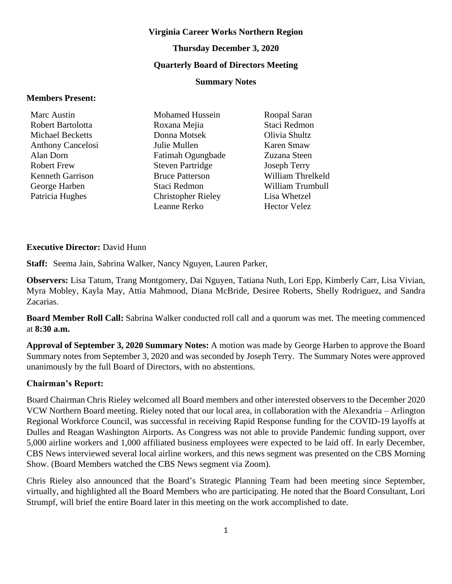#### **Virginia Career Works Northern Region**

#### **Thursday December 3, 2020**

#### **Quarterly Board of Directors Meeting**

#### **Summary Notes**

#### **Members Present:**

| Marc Austin              |
|--------------------------|
| Robert Bartolotta        |
| Michael Becketts         |
| <b>Anthony Cancelosi</b> |
| Alan Dorn                |
| Robert Frew              |
| Kenneth Garrison         |
| George Harben            |
| Patricia Hughes          |

Mohamed Hussein Roxana Mejia Donna Motsek Julie Mullen Fatimah Ogungbade Steven Partridge Bruce Patterson Staci Redmon Christopher Rieley Leanne Rerko

Roopal Saran Staci Redmon Olivia Shultz Karen Smaw Zuzana Steen Joseph Terry William Threlkeld William Trumbull Lisa Whetzel Hector Velez

#### **Executive Director:** David Hunn

**Staff:** Seema Jain, Sabrina Walker, Nancy Nguyen, Lauren Parker,

**Observers:** Lisa Tatum, Trang Montgomery, Dai Nguyen, Tatiana Nuth, Lori Epp, Kimberly Carr, Lisa Vivian, Myra Mobley, Kayla May, Attia Mahmood, Diana McBride, Desiree Roberts, Shelly Rodriguez, and Sandra Zacarias.

**Board Member Roll Call:** Sabrina Walker conducted roll call and a quorum was met. The meeting commenced at **8:30 a.m.**

**Approval of September 3, 2020 Summary Notes:** A motion was made by George Harben to approve the Board Summary notes from September 3, 2020 and was seconded by Joseph Terry. The Summary Notes were approved unanimously by the full Board of Directors, with no abstentions.

#### **Chairman's Report:**

Board Chairman Chris Rieley welcomed all Board members and other interested observers to the December 2020 VCW Northern Board meeting. Rieley noted that our local area, in collaboration with the Alexandria – Arlington Regional Workforce Council, was successful in receiving Rapid Response funding for the COVID-19 layoffs at Dulles and Reagan Washington Airports. As Congress was not able to provide Pandemic funding support, over 5,000 airline workers and 1,000 affiliated business employees were expected to be laid off. In early December, CBS News interviewed several local airline workers, and this news segment was presented on the CBS Morning Show. (Board Members watched the CBS News segment via Zoom).

Chris Rieley also announced that the Board's Strategic Planning Team had been meeting since September, virtually, and highlighted all the Board Members who are participating. He noted that the Board Consultant, Lori Strumpf, will brief the entire Board later in this meeting on the work accomplished to date.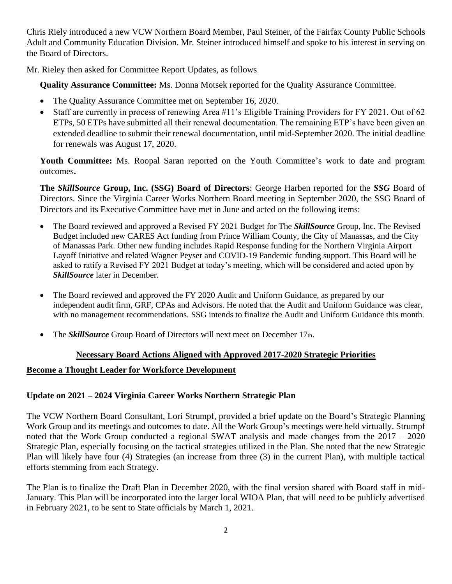Chris Riely introduced a new VCW Northern Board Member, Paul Steiner, of the Fairfax County Public Schools Adult and Community Education Division. Mr. Steiner introduced himself and spoke to his interest in serving on the Board of Directors.

Mr. Rieley then asked for Committee Report Updates, as follows

**Quality Assurance Committee:** Ms. Donna Motsek reported for the Quality Assurance Committee.

- The Quality Assurance Committee met on September 16, 2020.
- Staff are currently in process of renewing Area #11's Eligible Training Providers for FY 2021. Out of 62 ETPs, 50 ETPs have submitted all their renewal documentation. The remaining ETP's have been given an extended deadline to submit their renewal documentation, until mid-September 2020. The initial deadline for renewals was August 17, 2020.

Youth Committee: Ms. Roopal Saran reported on the Youth Committee's work to date and program outcomes**.**

**The** *SkillSource* **Group, Inc. (SSG) Board of Directors**: George Harben reported for the *SSG* Board of Directors. Since the Virginia Career Works Northern Board meeting in September 2020, the SSG Board of Directors and its Executive Committee have met in June and acted on the following items:

- The Board reviewed and approved a Revised FY 2021 Budget for The *SkillSource* Group, Inc. The Revised Budget included new CARES Act funding from Prince William County, the City of Manassas, and the City of Manassas Park. Other new funding includes Rapid Response funding for the Northern Virginia Airport Layoff Initiative and related Wagner Peyser and COVID-19 Pandemic funding support. This Board will be asked to ratify a Revised FY 2021 Budget at today's meeting, which will be considered and acted upon by *SkillSource* later in December.
- The Board reviewed and approved the FY 2020 Audit and Uniform Guidance, as prepared by our independent audit firm, GRF, CPAs and Advisors. He noted that the Audit and Uniform Guidance was clear, with no management recommendations. SSG intends to finalize the Audit and Uniform Guidance this month.
- The *SkillSource* Group Board of Directors will next meet on December 17th.

#### **Necessary Board Actions Aligned with Approved 2017-2020 Strategic Priorities**

## **Become a Thought Leader for Workforce Development**

## **Update on 2021 – 2024 Virginia Career Works Northern Strategic Plan**

The VCW Northern Board Consultant, Lori Strumpf, provided a brief update on the Board's Strategic Planning Work Group and its meetings and outcomes to date. All the Work Group's meetings were held virtually. Strumpf noted that the Work Group conducted a regional SWAT analysis and made changes from the 2017 – 2020 Strategic Plan, especially focusing on the tactical strategies utilized in the Plan. She noted that the new Strategic Plan will likely have four (4) Strategies (an increase from three (3) in the current Plan), with multiple tactical efforts stemming from each Strategy.

The Plan is to finalize the Draft Plan in December 2020, with the final version shared with Board staff in mid-January. This Plan will be incorporated into the larger local WIOA Plan, that will need to be publicly advertised in February 2021, to be sent to State officials by March 1, 2021.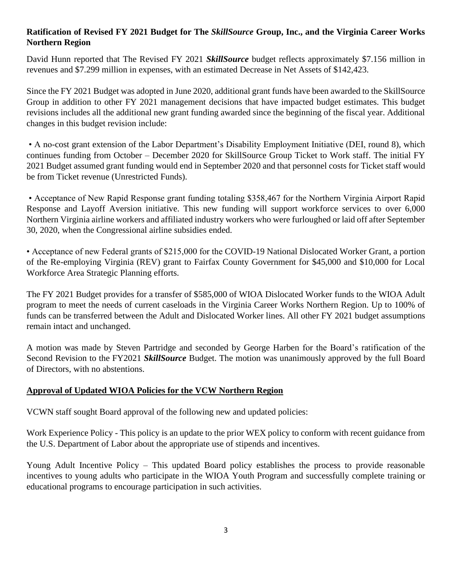# **Ratification of Revised FY 2021 Budget for The** *SkillSource* **Group, Inc., and the Virginia Career Works Northern Region**

David Hunn reported that The Revised FY 2021 *SkillSource* budget reflects approximately \$7.156 million in revenues and \$7.299 million in expenses, with an estimated Decrease in Net Assets of \$142,423.

Since the FY 2021 Budget was adopted in June 2020, additional grant funds have been awarded to the SkillSource Group in addition to other FY 2021 management decisions that have impacted budget estimates. This budget revisions includes all the additional new grant funding awarded since the beginning of the fiscal year. Additional changes in this budget revision include:

• A no-cost grant extension of the Labor Department's Disability Employment Initiative (DEI, round 8), which continues funding from October – December 2020 for SkillSource Group Ticket to Work staff. The initial FY 2021 Budget assumed grant funding would end in September 2020 and that personnel costs for Ticket staff would be from Ticket revenue (Unrestricted Funds).

• Acceptance of New Rapid Response grant funding totaling \$358,467 for the Northern Virginia Airport Rapid Response and Layoff Aversion initiative. This new funding will support workforce services to over 6,000 Northern Virginia airline workers and affiliated industry workers who were furloughed or laid off after September 30, 2020, when the Congressional airline subsidies ended.

• Acceptance of new Federal grants of \$215,000 for the COVID-19 National Dislocated Worker Grant, a portion of the Re-employing Virginia (REV) grant to Fairfax County Government for \$45,000 and \$10,000 for Local Workforce Area Strategic Planning efforts.

The FY 2021 Budget provides for a transfer of \$585,000 of WIOA Dislocated Worker funds to the WIOA Adult program to meet the needs of current caseloads in the Virginia Career Works Northern Region. Up to 100% of funds can be transferred between the Adult and Dislocated Worker lines. All other FY 2021 budget assumptions remain intact and unchanged.

A motion was made by Steven Partridge and seconded by George Harben for the Board's ratification of the Second Revision to the FY2021 *SkillSource* Budget. The motion was unanimously approved by the full Board of Directors, with no abstentions.

## **Approval of Updated WIOA Policies for the VCW Northern Region**

VCWN staff sought Board approval of the following new and updated policies:

Work Experience Policy - This policy is an update to the prior WEX policy to conform with recent guidance from the U.S. Department of Labor about the appropriate use of stipends and incentives.

Young Adult Incentive Policy – This updated Board policy establishes the process to provide reasonable incentives to young adults who participate in the WIOA Youth Program and successfully complete training or educational programs to encourage participation in such activities.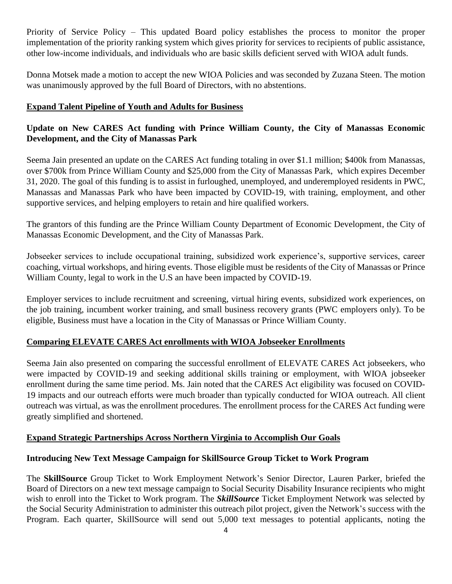Priority of Service Policy – This updated Board policy establishes the process to monitor the proper implementation of the priority ranking system which gives priority for services to recipients of public assistance, other low-income individuals, and individuals who are basic skills deficient served with WIOA adult funds.

Donna Motsek made a motion to accept the new WIOA Policies and was seconded by Zuzana Steen. The motion was unanimously approved by the full Board of Directors, with no abstentions.

## **Expand Talent Pipeline of Youth and Adults for Business**

# **Update on New CARES Act funding with Prince William County, the City of Manassas Economic Development, and the City of Manassas Park**

Seema Jain presented an update on the CARES Act funding totaling in over \$1.1 million; \$400k from Manassas, over \$700k from Prince William County and \$25,000 from the City of Manassas Park, which expires December 31, 2020. The goal of this funding is to assist in furloughed, unemployed, and underemployed residents in PWC, Manassas and Manassas Park who have been impacted by COVID-19, with training, employment, and other supportive services, and helping employers to retain and hire qualified workers.

The grantors of this funding are the Prince William County Department of Economic Development, the City of Manassas Economic Development, and the City of Manassas Park.

Jobseeker services to include occupational training, subsidized work experience's, supportive services, career coaching, virtual workshops, and hiring events. Those eligible must be residents of the City of Manassas or Prince William County, legal to work in the U.S an have been impacted by COVID-19.

Employer services to include recruitment and screening, virtual hiring events, subsidized work experiences, on the job training, incumbent worker training, and small business recovery grants (PWC employers only). To be eligible, Business must have a location in the City of Manassas or Prince William County.

## **Comparing ELEVATE CARES Act enrollments with WIOA Jobseeker Enrollments**

Seema Jain also presented on comparing the successful enrollment of ELEVATE CARES Act jobseekers, who were impacted by COVID-19 and seeking additional skills training or employment, with WIOA jobseeker enrollment during the same time period. Ms. Jain noted that the CARES Act eligibility was focused on COVID-19 impacts and our outreach efforts were much broader than typically conducted for WIOA outreach. All client outreach was virtual, as was the enrollment procedures. The enrollment process for the CARES Act funding were greatly simplified and shortened.

## **Expand Strategic Partnerships Across Northern Virginia to Accomplish Our Goals**

## **Introducing New Text Message Campaign for SkillSource Group Ticket to Work Program**

The **SkillSource** Group Ticket to Work Employment Network's Senior Director, Lauren Parker, briefed the Board of Directors on a new text message campaign to Social Security Disability Insurance recipients who might wish to enroll into the Ticket to Work program. The *SkillSource* Ticket Employment Network was selected by the Social Security Administration to administer this outreach pilot project, given the Network's success with the Program. Each quarter, SkillSource will send out 5,000 text messages to potential applicants, noting the